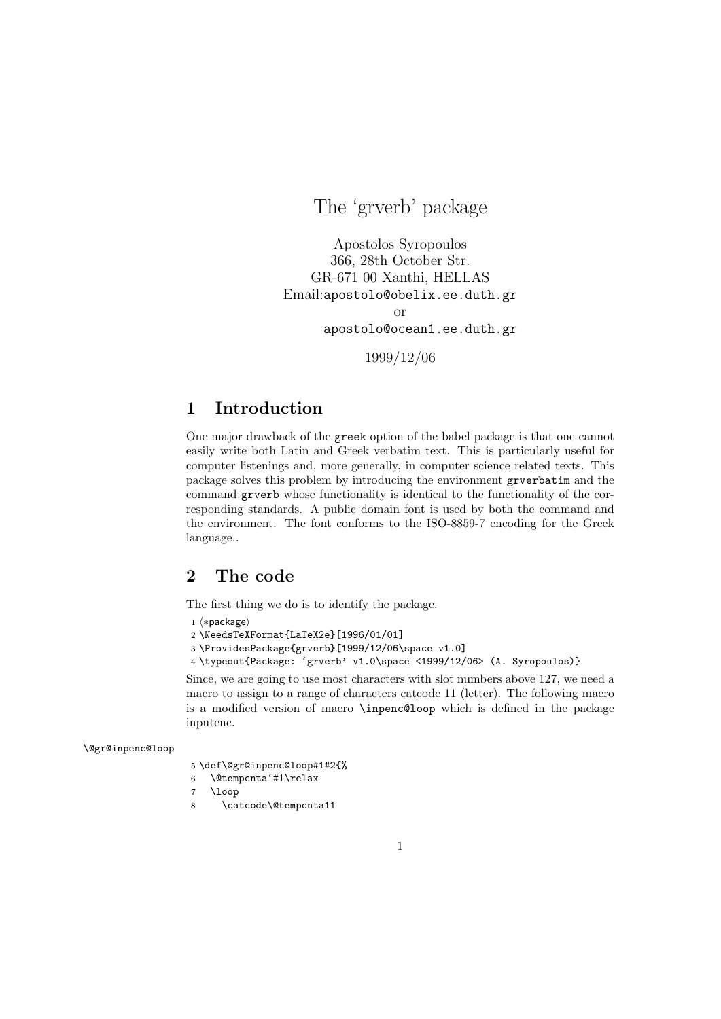The 'grverb' package

Apostolos Syropoulos 366, 28th October Str. GR-671 00 Xanthi, HELLAS Email:apostolo@obelix.ee.duth.gr or apostolo@ocean1.ee.duth.gr

1999/12/06

# 1 Introduction

One major drawback of the greek option of the babel package is that one cannot easily write both Latin and Greek verbatim text. This is particularly useful for computer listenings and, more generally, in computer science related texts. This package solves this problem by introducing the environment grverbatim and the command grverb whose functionality is identical to the functionality of the corresponding standards. A public domain font is used by both the command and the environment. The font conforms to the ISO-8859-7 encoding for the Greek language..

### 2 The code

The first thing we do is to identify the package.

```
1 (*package)
```

```
2 \NeedsTeXFormat{LaTeX2e}[1996/01/01]
```
3 \ProvidesPackage{grverb}[1999/12/06\space v1.0]

4 \typeout{Package: 'grverb' v1.0\space <1999/12/06> (A. Syropoulos)}

Since, we are going to use most characters with slot numbers above 127, we need a macro to assign to a range of characters catcode 11 (letter). The following macro is a modified version of macro \inpenc@loop which is defined in the package inputenc.

\@gr@inpenc@loop

```
5 \def\@gr@inpenc@loop#1#2{%
```

```
6 \@tempcnta'#1\relax
```
- 7 \loop
- 8 \catcode\@tempcnta11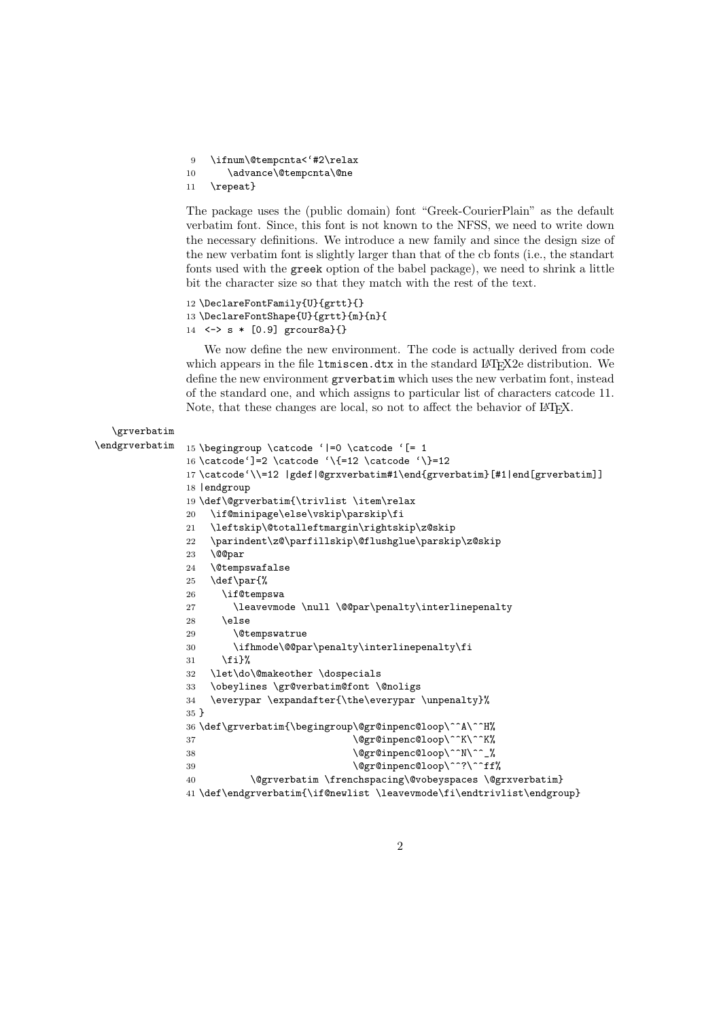\ifnum\@tempcnta<'#2\relax

```
10 \advance\@tempcnta\@ne
```
\repeat}

The package uses the (public domain) font "Greek-CourierPlain" as the default verbatim font. Since, this font is not known to the NFSS, we need to write down the necessary definitions. We introduce a new family and since the design size of the new verbatim font is slightly larger than that of the cb fonts (i.e., the standart fonts used with the greek option of the babel package), we need to shrink a little bit the character size so that they match with the rest of the text.

```
12 \DeclareFontFamily{U}{grtt}{}
13 \DeclareFontShape{U}{grtt}{m}{n}{
14 <-> s * [0.9] grcour8a}{}
```
We now define the new environment. The code is actually derived from code which appears in the file 1tmiscen.dtx in the standard LATEX2e distribution. We define the new environment grverbatim which uses the new verbatim font, instead of the standard one, and which assigns to particular list of characters catcode 11. Note, that these changes are local, so not to affect the behavior of LAT<sub>EX</sub>.

```
\grverbatim
\endgrverbatim 15 \begingroup \catcode '|=0 \catcode '[= 1
                 16 \catcode']=2 \catcode '\{=12 \catcode '\}=12
                 17 \catcode'\\=12 |gdef|@grxverbatim#1\end{grverbatim}[#1|end[grverbatim]]
                 18 |endgroup
                 19 \def\@grverbatim{\trivlist \item\relax
                 20 \if@minipage\else\vskip\parskip\fi
                 21 \leftskip\@totalleftmargin\rightskip\z@skip
                 22 \parindent\z@\parfillskip\@flushglue\parskip\z@skip
                 23 \@@par
                 24 \@tempswafalse
                 25 \def\par{%
                 26 \if@tempswa
                 27 \leavevmode \null \@@par\penalty\interlinepenalty
                 28 \leq \leq \leq \leq \leq \leq \leq \leq \leq \leq \leq \leq \leq \leq \leq \leq \leq \leq \leq \leq \leq \leq \leq \leq \leq \leq \leq \leq \leq \leq \leq \leq \leq \leq \leq \leq 
                 29 \@tempswatrue
                 30 \ifhmode\@@par\penalty\interlinepenalty\fi
                 31 \fi}%
                 32 \let\do\@makeother \dospecials
                 33 \obeylines \gr@verbatim@font \@noligs
                 34 \everypar \expandafter{\the\everypar \unpenalty}%
                 35 }
                 36 \def\grverbatim{\begingroup\@gr@inpenc@loop\^^A\^^H%
                 37 \@gr@inpenc@loop\^^K\^^K%
                 38 \@gr@inpenc@loop\^^N\^^_%
                 39 \@gr@inpenc@loop\^^?\^^ff%
                 40 \@grverbatim \frenchspacing\@vobeyspaces \@grxverbatim}
                 41 \def\endgrverbatim{\if@newlist \leavevmode\fi\endtrivlist\endgroup}
```